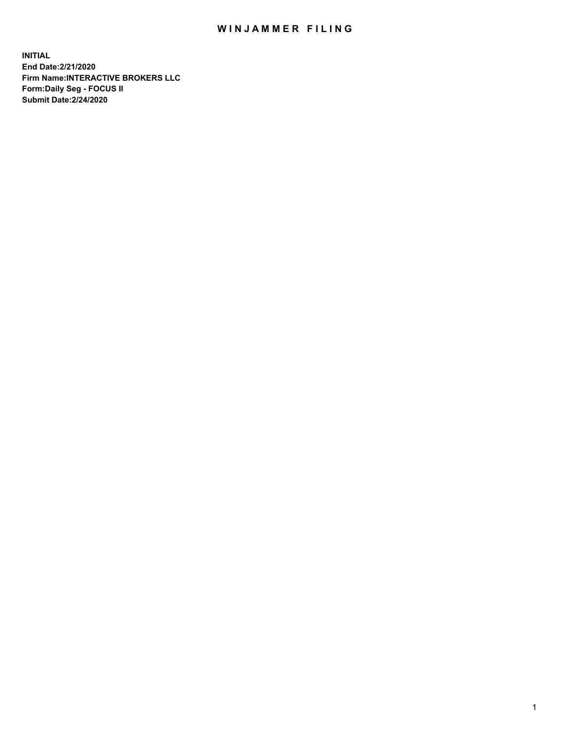## WIN JAMMER FILING

**INITIAL End Date:2/21/2020 Firm Name:INTERACTIVE BROKERS LLC Form:Daily Seg - FOCUS II Submit Date:2/24/2020**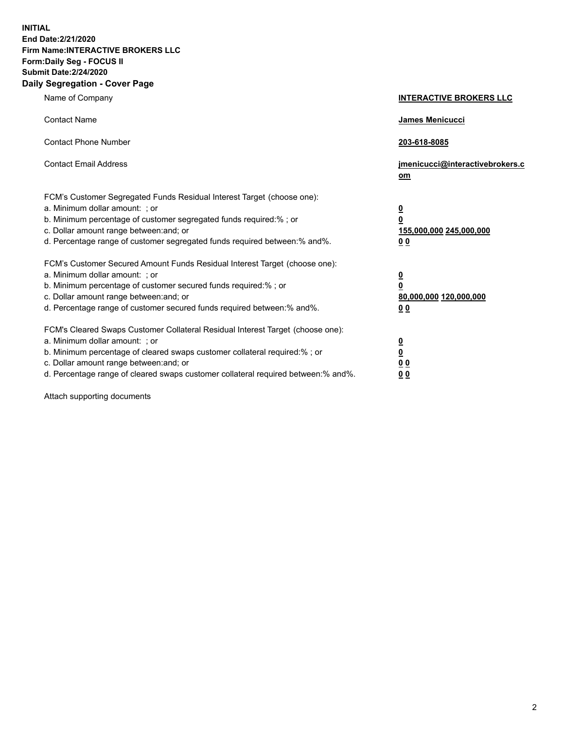**INITIAL End Date:2/21/2020 Firm Name:INTERACTIVE BROKERS LLC Form:Daily Seg - FOCUS II Submit Date:2/24/2020 Daily Segregation - Cover Page**

| Name of Company                                                                                                                                                                                                                                                                                                               | <b>INTERACTIVE BROKERS LLC</b>                                                                  |  |
|-------------------------------------------------------------------------------------------------------------------------------------------------------------------------------------------------------------------------------------------------------------------------------------------------------------------------------|-------------------------------------------------------------------------------------------------|--|
| <b>Contact Name</b>                                                                                                                                                                                                                                                                                                           | James Menicucci                                                                                 |  |
| <b>Contact Phone Number</b>                                                                                                                                                                                                                                                                                                   | 203-618-8085                                                                                    |  |
| <b>Contact Email Address</b>                                                                                                                                                                                                                                                                                                  | jmenicucci@interactivebrokers.c<br><u>om</u>                                                    |  |
| FCM's Customer Segregated Funds Residual Interest Target (choose one):<br>a. Minimum dollar amount: ; or<br>b. Minimum percentage of customer segregated funds required:% ; or<br>c. Dollar amount range between: and; or<br>d. Percentage range of customer segregated funds required between:% and%.                        | $\overline{\mathbf{0}}$<br>$\overline{\mathbf{0}}$<br>155,000,000 245,000,000<br>0 <sub>0</sub> |  |
| FCM's Customer Secured Amount Funds Residual Interest Target (choose one):<br>a. Minimum dollar amount: ; or<br>b. Minimum percentage of customer secured funds required:%; or<br>c. Dollar amount range between: and; or<br>d. Percentage range of customer secured funds required between:% and%.                           | $\overline{\mathbf{0}}$<br>$\overline{\mathbf{0}}$<br>80,000,000 120,000,000<br>0 <sub>0</sub>  |  |
| FCM's Cleared Swaps Customer Collateral Residual Interest Target (choose one):<br>a. Minimum dollar amount: ; or<br>b. Minimum percentage of cleared swaps customer collateral required:%; or<br>c. Dollar amount range between: and; or<br>d. Percentage range of cleared swaps customer collateral required between:% and%. | $\overline{\mathbf{0}}$<br>$\overline{\mathbf{0}}$<br>0 <sub>0</sub><br>0 <sub>0</sub>          |  |

Attach supporting documents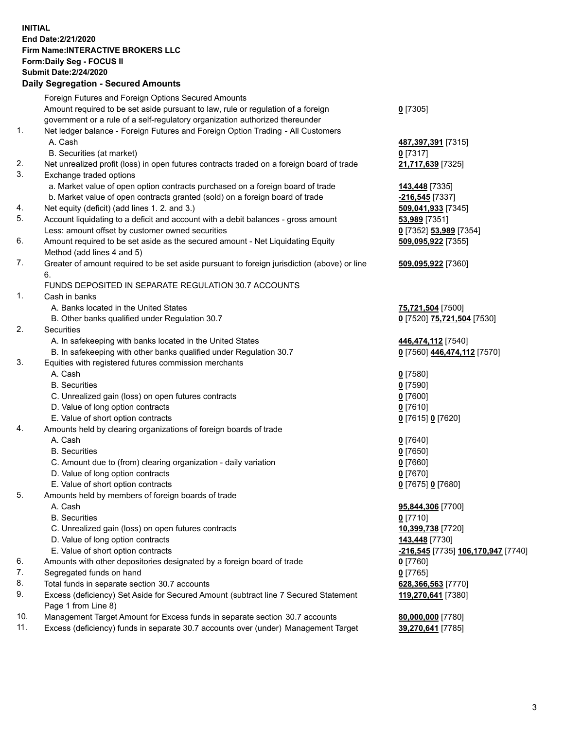**INITIAL End Date:2/21/2020 Firm Name:INTERACTIVE BROKERS LLC Form:Daily Seg - FOCUS II Submit Date:2/24/2020 Daily Segregation - Secured Amounts**

## Foreign Futures and Foreign Options Secured Amounts Amount required to be set aside pursuant to law, rule or regulation of a foreign government or a rule of a self-regulatory organization authorized thereunder **0** [7305] 1. Net ledger balance - Foreign Futures and Foreign Option Trading - All Customers A. Cash **487,397,391** [7315] B. Securities (at market) **0** [7317] 2. Net unrealized profit (loss) in open futures contracts traded on a foreign board of trade **21,717,639** [7325] 3. Exchange traded options a. Market value of open option contracts purchased on a foreign board of trade **143,448** [7335] b. Market value of open contracts granted (sold) on a foreign board of trade **-216,545** [7337] 4. Net equity (deficit) (add lines 1. 2. and 3.) **509,041,933** [7345] 5. Account liquidating to a deficit and account with a debit balances - gross amount **53,989** [7351] Less: amount offset by customer owned securities **0** [7352] **53,989** [7354] 6. Amount required to be set aside as the secured amount - Net Liquidating Equity Method (add lines 4 and 5) **509,095,922** [7355] 7. Greater of amount required to be set aside pursuant to foreign jurisdiction (above) or line 6. **509,095,922** [7360] FUNDS DEPOSITED IN SEPARATE REGULATION 30.7 ACCOUNTS 1. Cash in banks A. Banks located in the United States **75,721,504** [7500] B. Other banks qualified under Regulation 30.7 **0** [7520] **75,721,504** [7530] 2. Securities A. In safekeeping with banks located in the United States **446,474,112** [7540] B. In safekeeping with other banks qualified under Regulation 30.7 **0** [7560] **446,474,112** [7570] 3. Equities with registered futures commission merchants A. Cash **0** [7580] B. Securities **0** [7590] C. Unrealized gain (loss) on open futures contracts **0** [7600] D. Value of long option contracts **0** [7610] E. Value of short option contracts **0** [7615] **0** [7620] 4. Amounts held by clearing organizations of foreign boards of trade A. Cash **0** [7640] B. Securities **0** [7650] C. Amount due to (from) clearing organization - daily variation **0** [7660] D. Value of long option contracts **0** [7670] E. Value of short option contracts **0** [7675] **0** [7680] 5. Amounts held by members of foreign boards of trade A. Cash **95,844,306** [7700] B. Securities **0** [7710] C. Unrealized gain (loss) on open futures contracts **10,399,738** [7720] D. Value of long option contracts **143,448** [7730] E. Value of short option contracts **-216,545** [7735] **106,170,947** [7740] 6. Amounts with other depositories designated by a foreign board of trade **0** [7760] 7. Segregated funds on hand **0** [7765] 8. Total funds in separate section 30.7 accounts **628,366,563** [7770] 9. Excess (deficiency) Set Aside for Secured Amount (subtract line 7 Secured Statement Page 1 from Line 8) **119,270,641** [7380] 10. Management Target Amount for Excess funds in separate section 30.7 accounts **80,000,000** [7780] 11. Excess (deficiency) funds in separate 30.7 accounts over (under) Management Target **39,270,641** [7785]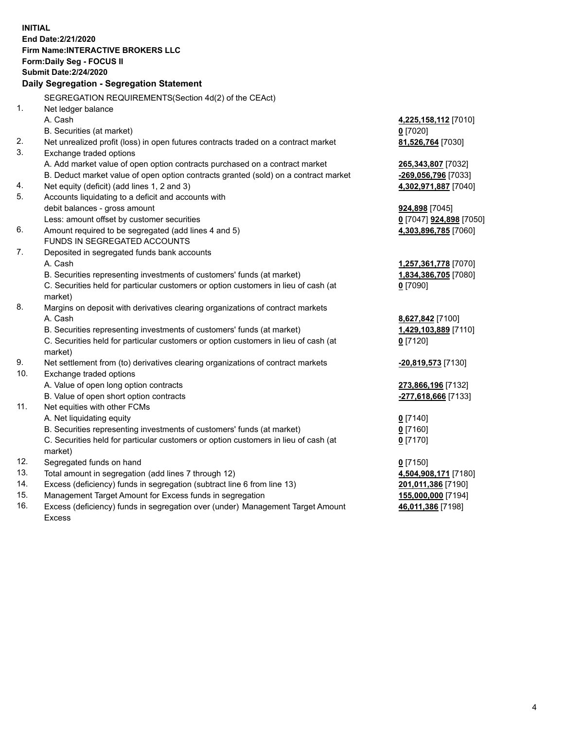**INITIAL End Date:2/21/2020 Firm Name:INTERACTIVE BROKERS LLC Form:Daily Seg - FOCUS II Submit Date:2/24/2020 Daily Segregation - Segregation Statement** SEGREGATION REQUIREMENTS(Section 4d(2) of the CEAct) 1. Net ledger balance A. Cash **4,225,158,112** [7010] B. Securities (at market) **0** [7020] 2. Net unrealized profit (loss) in open futures contracts traded on a contract market **81,526,764** [7030] 3. Exchange traded options A. Add market value of open option contracts purchased on a contract market **265,343,807** [7032] B. Deduct market value of open option contracts granted (sold) on a contract market **-269,056,796** [7033] 4. Net equity (deficit) (add lines 1, 2 and 3) **4,302,971,887** [7040] 5. Accounts liquidating to a deficit and accounts with debit balances - gross amount **924,898** [7045] Less: amount offset by customer securities **0** [7047] **924,898** [7050] 6. Amount required to be segregated (add lines 4 and 5) **4,303,896,785** [7060] FUNDS IN SEGREGATED ACCOUNTS 7. Deposited in segregated funds bank accounts A. Cash **1,257,361,778** [7070] B. Securities representing investments of customers' funds (at market) **1,834,386,705** [7080] C. Securities held for particular customers or option customers in lieu of cash (at market) **0** [7090] 8. Margins on deposit with derivatives clearing organizations of contract markets A. Cash **8,627,842** [7100] B. Securities representing investments of customers' funds (at market) **1,429,103,889** [7110] C. Securities held for particular customers or option customers in lieu of cash (at market) **0** [7120] 9. Net settlement from (to) derivatives clearing organizations of contract markets **-20,819,573** [7130] 10. Exchange traded options A. Value of open long option contracts **273,866,196** [7132] B. Value of open short option contracts **-277,618,666** [7133] 11. Net equities with other FCMs A. Net liquidating equity **0** [7140] B. Securities representing investments of customers' funds (at market) **0** [7160] C. Securities held for particular customers or option customers in lieu of cash (at market) **0** [7170] 12. Segregated funds on hand **0** [7150] 13. Total amount in segregation (add lines 7 through 12) **4,504,908,171** [7180] 14. Excess (deficiency) funds in segregation (subtract line 6 from line 13) **201,011,386** [7190] 15. Management Target Amount for Excess funds in segregation **155,000,000** [7194] 16. Excess (deficiency) funds in segregation over (under) Management Target Amount **46,011,386** [7198]

Excess